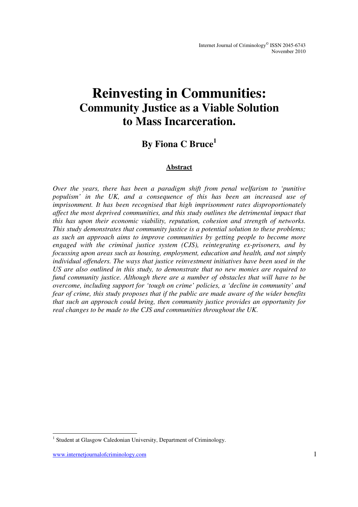# **Reinvesting in Communities: Community Justice as a Viable Solution to Mass Incarceration.**

### **By Fiona C Bruce<sup>1</sup>**

#### **Abstract**

*Over the years, there has been a paradigm shift from penal welfarism to 'punitive populism' in the UK, and a consequence of this has been an increased use of imprisonment. It has been recognised that high imprisonment rates disproportionately affect the most deprived communities, and this study outlines the detrimental impact that this has upon their economic viability, reputation, cohesion and strength of networks. This study demonstrates that community justice is a potential solution to these problems; as such an approach aims to improve communities by getting people to become more engaged with the criminal justice system (CJS), reintegrating ex-prisoners, and by focussing upon areas such as housing, employment, education and health, and not simply individual offenders. The ways that justice reinvestment initiatives have been used in the US are also outlined in this study, to demonstrate that no new monies are required to fund community justice. Although there are a number of obstacles that will have to be overcome, including support for 'tough on crime' policies, a 'decline in community' and fear of crime, this study proposes that if the public are made aware of the wider benefits that such an approach could bring, then community justice provides an opportunity for real changes to be made to the CJS and communities throughout the UK.* 

-

<sup>&</sup>lt;sup>1</sup> Student at Glasgow Caledonian University, Department of Criminology.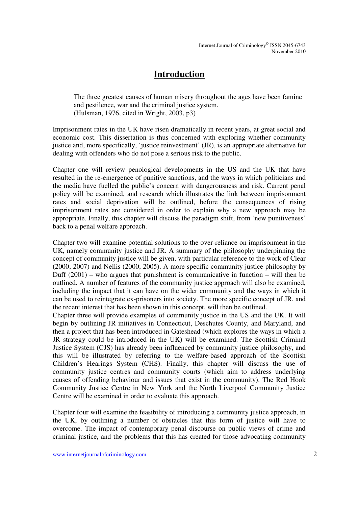### **Introduction**

The three greatest causes of human misery throughout the ages have been famine and pestilence, war and the criminal justice system. (Hulsman, 1976, cited in Wright, 2003, p3)

Imprisonment rates in the UK have risen dramatically in recent years, at great social and economic cost. This dissertation is thus concerned with exploring whether community justice and, more specifically, 'justice reinvestment' (JR), is an appropriate alternative for dealing with offenders who do not pose a serious risk to the public.

Chapter one will review penological developments in the US and the UK that have resulted in the re-emergence of punitive sanctions, and the ways in which politicians and the media have fuelled the public's concern with dangerousness and risk. Current penal policy will be examined, and research which illustrates the link between imprisonment rates and social deprivation will be outlined, before the consequences of rising imprisonment rates are considered in order to explain why a new approach may be appropriate. Finally, this chapter will discuss the paradigm shift, from 'new punitiveness' back to a penal welfare approach.

Chapter two will examine potential solutions to the over-reliance on imprisonment in the UK, namely community justice and JR. A summary of the philosophy underpinning the concept of community justice will be given, with particular reference to the work of Clear (2000; 2007) and Nellis (2000; 2005). A more specific community justice philosophy by Duff  $(2001)$  – who argues that punishment is communicative in function – will then be outlined. A number of features of the community justice approach will also be examined, including the impact that it can have on the wider community and the ways in which it can be used to reintegrate ex-prisoners into society. The more specific concept of JR, and the recent interest that has been shown in this concept, will then be outlined.

Chapter three will provide examples of community justice in the US and the UK. It will begin by outlining JR initiatives in Connecticut, Deschutes County, and Maryland, and then a project that has been introduced in Gateshead (which explores the ways in which a JR strategy could be introduced in the UK) will be examined. The Scottish Criminal Justice System (CJS) has already been influenced by community justice philosophy, and this will be illustrated by referring to the welfare-based approach of the Scottish Children's Hearings System (CHS). Finally, this chapter will discuss the use of community justice centres and community courts (which aim to address underlying causes of offending behaviour and issues that exist in the community). The Red Hook Community Justice Centre in New York and the North Liverpool Community Justice Centre will be examined in order to evaluate this approach.

Chapter four will examine the feasibility of introducing a community justice approach, in the UK, by outlining a number of obstacles that this form of justice will have to overcome. The impact of contemporary penal discourse on public views of crime and criminal justice, and the problems that this has created for those advocating community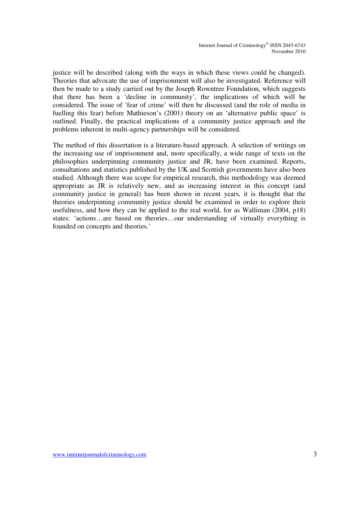justice will be described (along with the ways in which these views could be changed). Theories that advocate the use of imprisonment will also be investigated. Reference will then be made to a study carried out by the Joseph Rowntree Foundation, which suggests that there has been a 'decline in community', the implications of which will be considered. The issue of 'fear of crime' will then be discussed (and the role of media in fuelling this fear) before Mathieson's (2001) theory on an 'alternative public space' is outlined. Finally, the practical implications of a community justice approach and the problems inherent in multi-agency partnerships will be considered.

The method of this dissertation is a literature-based approach. A selection of writings on the increasing use of imprisonment and, more specifically, a wide range of texts on the philosophies underpinning community justice and JR, have been examined. Reports, consultations and statistics published by the UK and Scottish governments have also been studied. Although there was scope for empirical research, this methodology was deemed appropriate as JR is relatively new, and as increasing interest in this concept (and community justice in general) has been shown in recent years, it is thought that the theories underpinning community justice should be examined in order to explore their usefulness, and how they can be applied to the real world, for as Walliman (2004, p18) states: 'actions…are based on theories…our understanding of virtually everything is founded on concepts and theories.'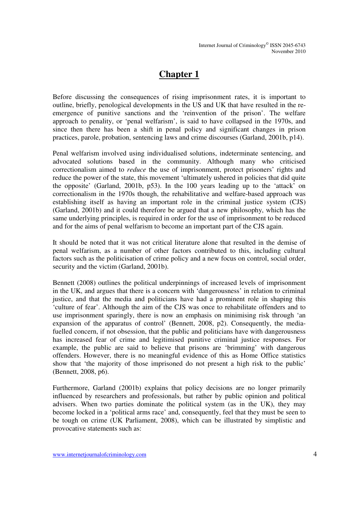## **Chapter 1**

Before discussing the consequences of rising imprisonment rates, it is important to outline, briefly, penological developments in the US and UK that have resulted in the reemergence of punitive sanctions and the 'reinvention of the prison'. The welfare approach to penality, or 'penal welfarism', is said to have collapsed in the 1970s, and since then there has been a shift in penal policy and significant changes in prison practices, parole, probation, sentencing laws and crime discourses (Garland, 2001b, p14).

Penal welfarism involved using individualised solutions, indeterminate sentencing, and advocated solutions based in the community. Although many who criticised correctionalism aimed to *reduce* the use of imprisonment, protect prisoners' rights and reduce the power of the state, this movement 'ultimately ushered in policies that did quite the opposite' (Garland, 2001b, p53). In the 100 years leading up to the 'attack' on correctionalism in the 1970s though, the rehabilitative and welfare-based approach was establishing itself as having an important role in the criminal justice system (CJS) (Garland, 2001b) and it could therefore be argued that a new philosophy, which has the same underlying principles, is required in order for the use of imprisonment to be reduced and for the aims of penal welfarism to become an important part of the CJS again.

It should be noted that it was not critical literature alone that resulted in the demise of penal welfarism, as a number of other factors contributed to this, including cultural factors such as the politicisation of crime policy and a new focus on control, social order, security and the victim (Garland, 2001b).

Bennett (2008) outlines the political underpinnings of increased levels of imprisonment in the UK, and argues that there is a concern with 'dangerousness' in relation to criminal justice, and that the media and politicians have had a prominent role in shaping this 'culture of fear'. Although the aim of the CJS was once to rehabilitate offenders and to use imprisonment sparingly, there is now an emphasis on minimising risk through 'an expansion of the apparatus of control' (Bennett, 2008, p2). Consequently, the mediafuelled concern, if not obsession, that the public and politicians have with dangerousness has increased fear of crime and legitimised punitive criminal justice responses*.* For example, the public are said to believe that prisons are 'brimming' with dangerous offenders. However, there is no meaningful evidence of this as Home Office statistics show that 'the majority of those imprisoned do not present a high risk to the public' (Bennett, 2008, p6).

Furthermore, Garland (2001b) explains that policy decisions are no longer primarily influenced by researchers and professionals, but rather by public opinion and political advisers. When two parties dominate the political system (as in the UK), they may become locked in a 'political arms race' and, consequently, feel that they must be seen to be tough on crime (UK Parliament, 2008), which can be illustrated by simplistic and provocative statements such as: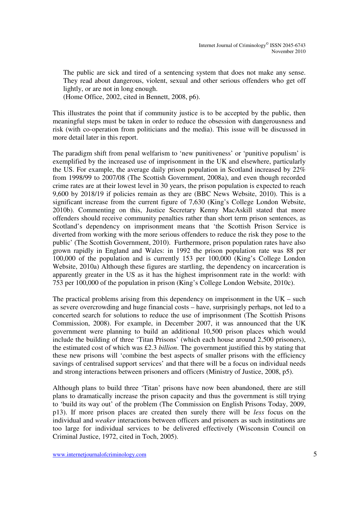The public are sick and tired of a sentencing system that does not make any sense. They read about dangerous, violent, sexual and other serious offenders who get off lightly, or are not in long enough.

(Home Office, 2002, cited in Bennett, 2008, p6).

This illustrates the point that if community justice is to be accepted by the public, then meaningful steps must be taken in order to reduce the obsession with dangerousness and risk (with co-operation from politicians and the media). This issue will be discussed in more detail later in this report.

The paradigm shift from penal welfarism to 'new punitiveness' or 'punitive populism' is exemplified by the increased use of imprisonment in the UK and elsewhere, particularly the US. For example, the average daily prison population in Scotland increased by 22% from 1998/99 to 2007/08 (The Scottish Government, 2008a), and even though recorded crime rates are at their lowest level in 30 years, the prison population is expected to reach 9,600 by 2018/19 if policies remain as they are (BBC News Website, 2010). This is a significant increase from the current figure of 7,630 (King's College London Website, 2010b). Commenting on this, Justice Secretary Kenny MacAskill stated that more offenders should receive community penalties rather than short term prison sentences, as Scotland's dependency on imprisonment means that 'the Scottish Prison Service is diverted from working with the more serious offenders to reduce the risk they pose to the public' (The Scottish Government, 2010). Furthermore, prison population rates have also grown rapidly in England and Wales: in 1992 the prison population rate was 88 per 100,000 of the population and is currently 153 per 100,000 (King's College London Website, 2010a) Although these figures are startling, the dependency on incarceration is apparently greater in the US as it has the highest imprisonment rate in the world: with 753 per 100,000 of the population in prison (King's College London Website, 2010c).

The practical problems arising from this dependency on imprisonment in the  $UK - such$ as severe overcrowding and huge financial costs – have, surprisingly perhaps, not led to a concerted search for solutions to reduce the use of imprisonment (The Scottish Prisons Commission, 2008). For example, in December 2007, it was announced that the UK government were planning to build an additional 10,500 prison places which would include the building of three 'Titan Prisons' (which each house around 2,500 prisoners), the estimated cost of which was £2.3 *billion*. The government justified this by stating that these new prisons will 'combine the best aspects of smaller prisons with the efficiency savings of centralised support services' and that there will be a focus on individual needs and strong interactions between prisoners and officers (Ministry of Justice, 2008, p5).

Although plans to build three 'Titan' prisons have now been abandoned, there are still plans to dramatically increase the prison capacity and thus the government is still trying to 'build its way out' of the problem (The Commission on English Prisons Today, 2009, p13). If more prison places are created then surely there will be *less* focus on the individual and *weaker* interactions between officers and prisoners as such institutions are too large for individual services to be delivered effectively (Wisconsin Council on Criminal Justice, 1972, cited in Toch, 2005).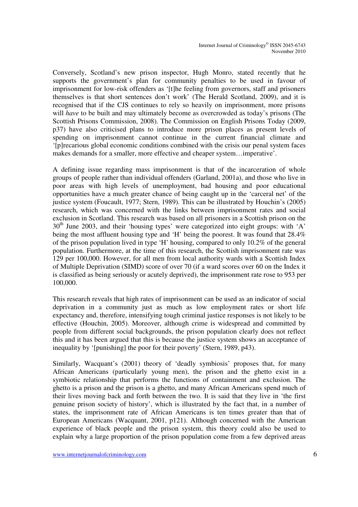Conversely, Scotland's new prison inspector, Hugh Monro, stated recently that he supports the government's plan for community penalties to be used in favour of imprisonment for low-risk offenders as '[t]he feeling from governors, staff and prisoners themselves is that short sentences don't work' (The Herald Scotland, 2009), and it is recognised that if the CJS continues to rely so heavily on imprisonment, more prisons will *have* to be built and may ultimately become as overcrowded as today's prisons (The Scottish Prisons Commission, 2008). The Commission on English Prisons Today (2009, p37) have also criticised plans to introduce more prison places as present levels of spending on imprisonment cannot continue in the current financial climate and '[p]recarious global economic conditions combined with the crisis our penal system faces makes demands for a smaller, more effective and cheaper system…imperative'.

A defining issue regarding mass imprisonment is that of the incarceration of whole groups of people rather than individual offenders (Garland, 2001a), and those who live in poor areas with high levels of unemployment, bad housing and poor educational opportunities have a much greater chance of being caught up in the 'carceral net' of the justice system (Foucault, 1977; Stern, 1989). This can be illustrated by Houchin's (2005) research, which was concerned with the links between imprisonment rates and social exclusion in Scotland. This research was based on all prisoners in a Scottish prison on the  $30<sup>th</sup>$  June 2003, and their 'housing types' were categorized into eight groups: with 'A' being the most affluent housing type and 'H' being the poorest. It was found that 28.4% of the prison population lived in type 'H' housing, compared to only 10.2% of the general population. Furthermore, at the time of this research, the Scottish imprisonment rate was 129 per 100,000. However, for all men from local authority wards with a Scottish Index of Multiple Deprivation (SIMD) score of over 70 (if a ward scores over 60 on the Index it is classified as being seriously or acutely deprived), the imprisonment rate rose to 953 per 100,000.

This research reveals that high rates of imprisonment can be used as an indicator of social deprivation in a community just as much as low employment rates or short life expectancy and, therefore, intensifying tough criminal justice responses is not likely to be effective (Houchin, 2005). Moreover, although crime is widespread and committed by people from different social backgrounds, the prison population clearly does not reflect this and it has been argued that this is because the justice system shows an acceptance of inequality by '[punishing] the poor for their poverty' (Stern, 1989, p43).

Similarly, Wacquant's (2001) theory of 'deadly symbiosis' proposes that, for many African Americans (particularly young men), the prison and the ghetto exist in a symbiotic relationship that performs the functions of containment and exclusion. The ghetto is a prison and the prison is a ghetto, and many African Americans spend much of their lives moving back and forth between the two. It is said that they live in 'the first genuine prison society of history', which is illustrated by the fact that, in a number of states, the imprisonment rate of African Americans is ten times greater than that of European Americans (Wacquant, 2001, p121). Although concerned with the American experience of black people and the prison system, this theory could also be used to explain why a large proportion of the prison population come from a few deprived areas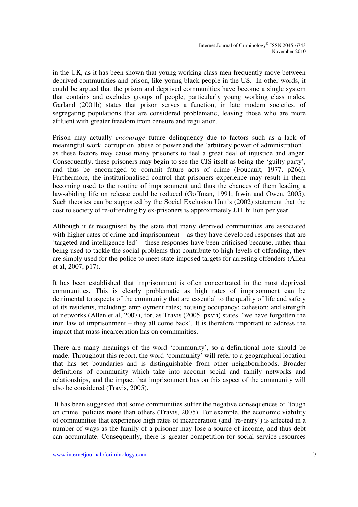in the UK, as it has been shown that young working class men frequently move between deprived communities and prison, like young black people in the US. In other words, it could be argued that the prison and deprived communities have become a single system that contains and excludes groups of people, particularly young working class males. Garland (2001b) states that prison serves a function, in late modern societies, of segregating populations that are considered problematic, leaving those who are more affluent with greater freedom from censure and regulation.

Prison may actually *encourage* future delinquency due to factors such as a lack of meaningful work, corruption, abuse of power and the 'arbitrary power of administration', as these factors may cause many prisoners to feel a great deal of injustice and anger. Consequently, these prisoners may begin to see the CJS itself as being the 'guilty party', and thus be encouraged to commit future acts of crime (Foucault, 1977, p266). Furthermore, the institutionalised control that prisoners experience may result in them becoming used to the routine of imprisonment and thus the chances of them leading a law-abiding life on release could be reduced (Goffman, 1991; Irwin and Owen, 2005). Such theories can be supported by the Social Exclusion Unit's (2002) statement that the cost to society of re-offending by ex-prisoners is approximately £11 billion per year.

Although it *is* recognised by the state that many deprived communities are associated with higher rates of crime and imprisonment – as they have developed responses that are 'targeted and intelligence led' – these responses have been criticised because, rather than being used to tackle the social problems that contribute to high levels of offending, they are simply used for the police to meet state-imposed targets for arresting offenders (Allen et al, 2007, p17).

It has been established that imprisonment is often concentrated in the most deprived communities. This is clearly problematic as high rates of imprisonment can be detrimental to aspects of the community that are essential to the quality of life and safety of its residents, including: employment rates; housing occupancy; cohesion; and strength of networks (Allen et al, 2007), for, as Travis (2005, pxvii) states, 'we have forgotten the iron law of imprisonment – they all come back'. It is therefore important to address the impact that mass incarceration has on communities.

There are many meanings of the word 'community', so a definitional note should be made. Throughout this report, the word 'community' will refer to a geographical location that has set boundaries and is distinguishable from other neighbourhoods. Broader definitions of community which take into account social and family networks and relationships, and the impact that imprisonment has on this aspect of the community will also be considered (Travis, 2005).

 It has been suggested that some communities suffer the negative consequences of 'tough on crime' policies more than others (Travis, 2005). For example, the economic viability of communities that experience high rates of incarceration (and 're-entry') is affected in a number of ways as the family of a prisoner may lose a source of income, and thus debt can accumulate. Consequently, there is greater competition for social service resources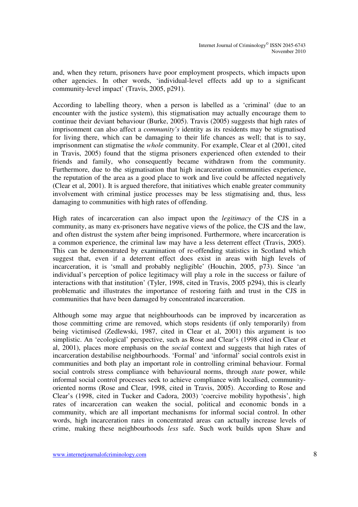and, when they return, prisoners have poor employment prospects, which impacts upon other agencies. In other words, 'individual-level effects add up to a significant community-level impact' (Travis, 2005, p291).

According to labelling theory, when a person is labelled as a 'criminal' (due to an encounter with the justice system), this stigmatisation may actually encourage them to continue their deviant behaviour (Burke, 2005). Travis (2005) suggests that high rates of imprisonment can also affect a *community's* identity as its residents may be stigmatised for living there, which can be damaging to their life chances as well; that is to say, imprisonment can stigmatise the *whole* community. For example, Clear et al (2001, cited in Travis, 2005) found that the stigma prisoners experienced often extended to their friends and family, who consequently became withdrawn from the community. Furthermore, due to the stigmatisation that high incarceration communities experience, the reputation of the area as a good place to work and live could be affected negatively (Clear et al, 2001). It is argued therefore, that initiatives which enable greater community involvement with criminal justice processes may be less stigmatising and, thus, less damaging to communities with high rates of offending.

High rates of incarceration can also impact upon the *legitimacy* of the CJS in a community, as many ex-prisoners have negative views of the police, the CJS and the law, and often distrust the system after being imprisoned. Furthermore, where incarceration is a common experience, the criminal law may have a less deterrent effect (Travis, 2005). This can be demonstrated by examination of re-offending statistics in Scotland which suggest that, even if a deterrent effect does exist in areas with high levels of incarceration, it is 'small and probably negligible' (Houchin, 2005, p73). Since 'an individual's perception of police legitimacy will play a role in the success or failure of interactions with that institution' (Tyler, 1998, cited in Travis, 2005 p294), this is clearly problematic and illustrates the importance of restoring faith and trust in the CJS in communities that have been damaged by concentrated incarceration.

Although some may argue that neighbourhoods can be improved by incarceration as those committing crime are removed, which stops residents (if only temporarily) from being victimised (Zedlewski, 1987, cited in Clear et al, 2001) this argument is too simplistic. An 'ecological' perspective, such as Rose and Clear's (1998 cited in Clear et al, 2001), places more emphasis on the *social* context and suggests that high rates of incarceration destabilise neighbourhoods. 'Formal' and 'informal' social controls exist in communities and both play an important role in controlling criminal behaviour. Formal social controls stress compliance with behavioural norms, through *state* power, while informal social control processes seek to achieve compliance with localised, communityoriented norms (Rose and Clear, 1998, cited in Travis, 2005). According to Rose and Clear's (1998, cited in Tucker and Cadora, 2003) 'coercive mobility hypothesis', high rates of incarceration can weaken the social, political and economic bonds in a community, which are all important mechanisms for informal social control. In other words, high incarceration rates in concentrated areas can actually increase levels of crime, making these neighbourhoods *less* safe. Such work builds upon Shaw and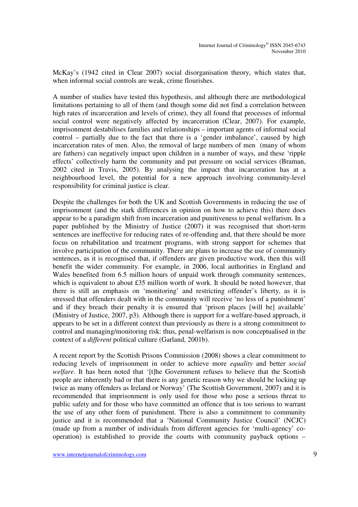McKay's (1942 cited in Clear 2007) social disorganisation theory, which states that, when informal social controls are weak, crime flourishes.

A number of studies have tested this hypothesis, and although there are methodological limitations pertaining to all of them (and though some did not find a correlation between high rates of incarceration and levels of crime), they all found that processes of informal social control were negatively affected by incarceration (Clear, 2007). For example, imprisonment destabilises families and relationships – important agents of informal social control – partially due to the fact that there is a 'gender imbalance', caused by high incarceration rates of men. Also, the removal of large numbers of men (many of whom are fathers) can negatively impact upon children in a number of ways, and these 'ripple effects' collectively harm the community and put pressure on social services (Braman, 2002 cited in Travis, 2005). By analysing the impact that incarceration has at a neighbourhood level, the potential for a new approach involving community-level responsibility for criminal justice is clear.

Despite the challenges for both the UK and Scottish Governments in reducing the use of imprisonment (and the stark differences in opinion on how to achieve this) there does appear to be a paradigm shift from incarceration and punitiveness to penal welfarism. In a paper published by the Ministry of Justice (2007) it was recognised that short-term sentences are ineffective for reducing rates of re-offending and, that there should be more focus on rehabilitation and treatment programs, with strong support for schemes that involve participation of the community. There are plans to increase the use of community sentences, as it is recognised that, if offenders are given productive work, then this will benefit the wider community. For example, in 2006, local authorities in England and Wales benefited from 6.5 million hours of unpaid work through community sentences, which is equivalent to about £35 million worth of work. It should be noted however, that there is still an emphasis on 'monitoring' and restricting offender's liberty, as it is stressed that offenders dealt with in the community will receive 'no less of a punishment' and if they breach their penalty it is ensured that 'prison places [will be] available' (Ministry of Justice, 2007, p3). Although there is support for a welfare-based approach, it appears to be set in a different context than previously as there is a strong commitment to control and managing/monitoring risk: thus, penal-welfarism is now conceptualised in the context of a *different* political culture (Garland, 2001b).

A recent report by the Scottish Prisons Commission (2008) shows a clear commitment to reducing levels of imprisonment in order to achieve more *equality* and better *social welfare*. It has been noted that '[t]he Government refuses to believe that the Scottish people are inherently bad or that there is any genetic reason why we should be locking up twice as many offenders as Ireland or Norway' (The Scottish Government, 2007) and it is recommended that imprisonment is only used for those who pose a serious threat to public safety and for those who have committed an offence that is too serious to warrant the use of any other form of punishment. There is also a commitment to community justice and it is recommended that a 'National Community Justice Council' (NCJC) (made up from a number of individuals from different agencies for 'multi-agency' cooperation) is established to provide the courts with community payback options –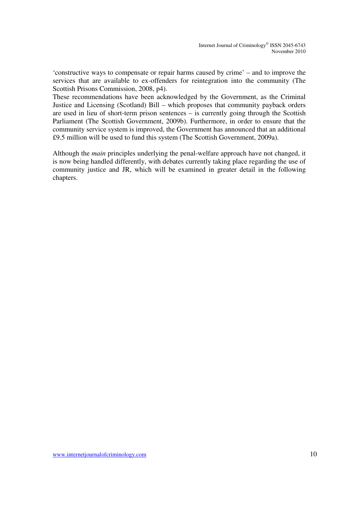'constructive ways to compensate or repair harms caused by crime' – and to improve the services that are available to ex-offenders for reintegration into the community (The Scottish Prisons Commission, 2008, p4).

These recommendations have been acknowledged by the Government, as the Criminal Justice and Licensing (Scotland) Bill – which proposes that community payback orders are used in lieu of short-term prison sentences – is currently going through the Scottish Parliament (The Scottish Government, 2009b). Furthermore, in order to ensure that the community service system is improved, the Government has announced that an additional £9.5 million will be used to fund this system (The Scottish Government, 2009a).

Although the *main* principles underlying the penal-welfare approach have not changed, it is now being handled differently, with debates currently taking place regarding the use of community justice and JR, which will be examined in greater detail in the following chapters.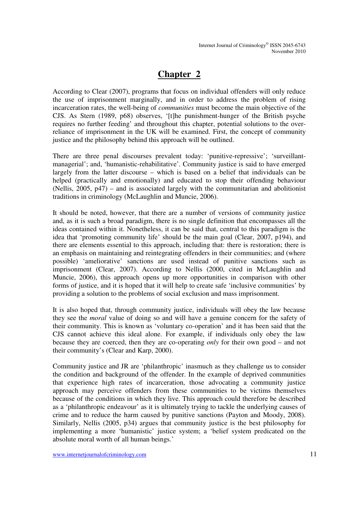## **Chapter 2**

According to Clear (2007), programs that focus on individual offenders will only reduce the use of imprisonment marginally, and in order to address the problem of rising incarceration rates, the well-being of *communities* must become the main objective of the CJS. As Stern (1989, p68) observes, '[t]he punishment-hunger of the British psyche requires no further feeding' and throughout this chapter, potential solutions to the overreliance of imprisonment in the UK will be examined. First, the concept of community justice and the philosophy behind this approach will be outlined.

There are three penal discourses prevalent today: 'punitive-repressive'; 'surveillantmanagerial'; and, 'humanistic-rehabilitative'. Community justice is said to have emerged largely from the latter discourse – which is based on a belief that individuals can be helped (practically and emotionally) and educated to stop their offending behaviour (Nellis, 2005, p47) – and is associated largely with the communitarian and abolitionist traditions in criminology (McLaughlin and Muncie, 2006).

It should be noted, however, that there are a number of versions of community justice and, as it is such a broad paradigm, there is no single definition that encompasses all the ideas contained within it. Nonetheless, it can be said that, central to this paradigm is the idea that 'promoting community life' should be the main goal (Clear, 2007, p194), and there are elements essential to this approach, including that: there is restoration; there is an emphasis on maintaining and reintegrating offenders in their communities; and (where possible) 'ameliorative' sanctions are used instead of punitive sanctions such as imprisonment (Clear, 2007). According to Nellis (2000, cited in McLaughlin and Muncie, 2006), this approach opens up more opportunities in comparison with other forms of justice, and it is hoped that it will help to create safe 'inclusive communities' by providing a solution to the problems of social exclusion and mass imprisonment.

It is also hoped that, through community justice, individuals will obey the law because they see the *moral* value of doing so and will have a genuine concern for the safety of their community. This is known as 'voluntary co-operation' and it has been said that the CJS cannot achieve this ideal alone. For example, if individuals only obey the law because they are coerced, then they are co-operating *only* for their own good – and not their community's (Clear and Karp, 2000).

Community justice and JR are 'philanthropic' inasmuch as they challenge us to consider the condition and background of the offender. In the example of deprived communities that experience high rates of incarceration, those advocating a community justice approach may perceive offenders from these communities to be victims themselves because of the conditions in which they live. This approach could therefore be described as a 'philanthropic endeavour' as it is ultimately trying to tackle the underlying causes of crime and to reduce the harm caused by punitive sanctions (Payton and Moody, 2008). Similarly, Nellis (2005, p34) argues that community justice is the best philosophy for implementing a more 'humanistic' justice system; a 'belief system predicated on the absolute moral worth of all human beings.'

www.internetjournalofcriminology.com 11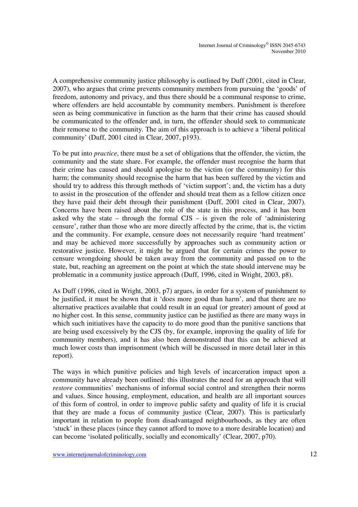A comprehensive community justice philosophy is outlined by Duff (2001, cited in Clear, 2007), who argues that crime prevents community members from pursuing the 'goods' of freedom, autonomy and privacy, and thus there should be a communal response to crime, where offenders are held accountable by community members. Punishment is therefore seen as being communicative in function as the harm that their crime has caused should be communicated to the offender and, in turn, the offender should seek to communicate their remorse to the community. The aim of this approach is to achieve a 'liberal political community' (Duff, 2001 cited in Clear, 2007, p193).

To be put into *practice*, there must be a set of obligations that the offender, the victim, the community and the state share. For example, the offender must recognise the harm that their crime has caused and should apologise to the victim (or the community) for this harm; the community should recognise the harm that has been suffered by the victim and should try to address this through methods of 'victim support'; and, the victim has a duty to assist in the prosecution of the offender and should treat them as a fellow citizen once they have paid their debt through their punishment (Duff, 2001 cited in Clear, 2007). Concerns have been raised about the role of the state in this process, and it has been asked why the state – through the formal  $CJS$  – is given the role of 'administering censure', rather than those who are more directly affected by the crime, that is, the victim and the community. For example, censure does not necessarily require 'hard treatment' and may be achieved more successfully by approaches such as community action or restorative justice. However, it might be argued that for certain crimes the power to censure wrongdoing should be taken away from the community and passed on to the state, but, reaching an agreement on the point at which the state should intervene may be problematic in a community justice approach (Duff, 1996, cited in Wright, 2003, p8).

As Duff (1996, cited in Wright, 2003, p7) argues, in order for a system of punishment to be justified, it must be shown that it 'does more good than harm', and that there are no alternative practices available that could result in an equal (or greater) amount of good at no higher cost. In this sense, community justice can be justified as there are many ways in which such initiatives have the capacity to do more good than the punitive sanctions that are being used excessively by the CJS (by, for example, improving the quality of life for community members), and it has also been demonstrated that this can be achieved at much lower costs than imprisonment (which will be discussed in more detail later in this report).

The ways in which punitive policies and high levels of incarceration impact upon a community have already been outlined: this illustrates the need for an approach that will *restore* communities' mechanisms of informal social control and strengthen their norms and values. Since housing, employment, education, and health are all important sources of this form of control, in order to improve public safety and quality of life it is crucial that they are made a focus of community justice (Clear, 2007). This is particularly important in relation to people from disadvantaged neighbourhoods, as they are often 'stuck' in these places (since they cannot afford to move to a more desirable location) and can become 'isolated politically, socially and economically' (Clear, 2007, p70).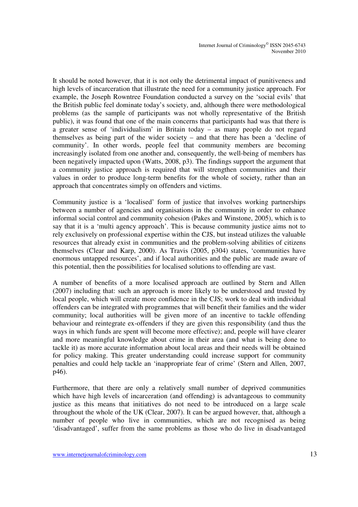It should be noted however, that it is not only the detrimental impact of punitiveness and high levels of incarceration that illustrate the need for a community justice approach. For example, the Joseph Rowntree Foundation conducted a survey on the 'social evils' that the British public feel dominate today's society, and, although there were methodological problems (as the sample of participants was not wholly representative of the British public), it was found that one of the main concerns that participants had was that there is a greater sense of 'individualism' in Britain today – as many people do not regard themselves as being part of the wider society – and that there has been a 'decline of community'. In other words, people feel that community members are becoming increasingly isolated from one another and, consequently, the well-being of members has been negatively impacted upon (Watts, 2008, p3). The findings support the argument that a community justice approach is required that will strengthen communities and their values in order to produce long-term benefits for the whole of society, rather than an approach that concentrates simply on offenders and victims.

Community justice is a 'localised' form of justice that involves working partnerships between a number of agencies and organisations in the community in order to enhance informal social control and community cohesion (Pakes and Winstone, 2005), which is to say that it is a 'multi agency approach'. This is because community justice aims not to rely exclusively on professional expertise within the CJS, but instead utilizes the valuable resources that already exist in communities and the problem-solving abilities of citizens themselves (Clear and Karp, 2000). As Travis (2005, p304) states, 'communities have enormous untapped resources', and if local authorities and the public are made aware of this potential, then the possibilities for localised solutions to offending are vast.

A number of benefits of a more localised approach are outlined by Stern and Allen (2007) including that: such an approach is more likely to be understood and trusted by local people, which will create more confidence in the CJS; work to deal with individual offenders can be integrated with programmes that will benefit their families and the wider community; local authorities will be given more of an incentive to tackle offending behaviour and reintegrate ex-offenders if they are given this responsibility (and thus the ways in which funds are spent will become more effective); and, people will have clearer and more meaningful knowledge about crime in their area (and what is being done to tackle it) as more accurate information about local areas and their needs will be obtained for policy making. This greater understanding could increase support for community penalties and could help tackle an 'inappropriate fear of crime' (Stern and Allen, 2007, p46).

Furthermore, that there are only a relatively small number of deprived communities which have high levels of incarceration (and offending) is advantageous to community justice as this means that initiatives do not need to be introduced on a large scale throughout the whole of the UK (Clear, 2007). It can be argued however, that, although a number of people who live in communities, which are not recognised as being 'disadvantaged', suffer from the same problems as those who do live in disadvantaged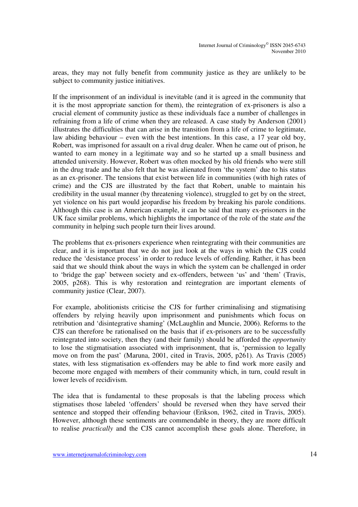areas, they may not fully benefit from community justice as they are unlikely to be subject to community justice initiatives.

If the imprisonment of an individual is inevitable (and it is agreed in the community that it is the most appropriate sanction for them), the reintegration of ex-prisoners is also a crucial element of community justice as these individuals face a number of challenges in refraining from a life of crime when they are released. A case study by Anderson (2001) illustrates the difficulties that can arise in the transition from a life of crime to legitimate, law abiding behaviour – even with the best intentions. In this case, a 17 year old boy, Robert, was imprisoned for assault on a rival drug dealer. When he came out of prison, he wanted to earn money in a legitimate way and so he started up a small business and attended university. However, Robert was often mocked by his old friends who were still in the drug trade and he also felt that he was alienated from 'the system' due to his status as an ex-prisoner. The tensions that exist between life in communities (with high rates of crime) and the CJS are illustrated by the fact that Robert, unable to maintain his credibility in the usual manner (by threatening violence), struggled to get by on the street, yet violence on his part would jeopardise his freedom by breaking his parole conditions. Although this case is an American example, it can be said that many ex-prisoners in the UK face similar problems, which highlights the importance of the role of the state *and* the community in helping such people turn their lives around.

The problems that ex-prisoners experience when reintegrating with their communities are clear, and it is important that we do not just look at the ways in which the CJS could reduce the 'desistance process' in order to reduce levels of offending. Rather, it has been said that we should think about the ways in which the system can be challenged in order to 'bridge the gap' between society and ex-offenders, between 'us' and 'them' (Travis, 2005, p268). This is why restoration and reintegration are important elements of community justice (Clear, 2007).

For example, abolitionists criticise the CJS for further criminalising and stigmatising offenders by relying heavily upon imprisonment and punishments which focus on retribution and 'disintegrative shaming' (McLaughlin and Muncie, 2006). Reforms to the CJS can therefore be rationalised on the basis that if ex-prisoners are to be successfully reintegrated into society, then they (and their family) should be afforded the *opportunity* to lose the stigmatisation associated with imprisonment, that is, 'permission to legally move on from the past' (Maruna, 2001, cited in Travis, 2005, p261). As Travis (2005) states, with less stigmatisation ex-offenders may be able to find work more easily and become more engaged with members of their community which, in turn, could result in lower levels of recidivism.

The idea that is fundamental to these proposals is that the labeling process which stigmatises those labeled 'offenders' should be reversed when they have served their sentence and stopped their offending behaviour (Erikson, 1962, cited in Travis, 2005). However, although these sentiments are commendable in theory, they are more difficult to realise *practically* and the CJS cannot accomplish these goals alone. Therefore, in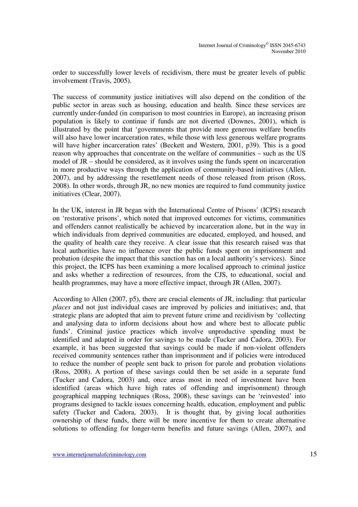order to successfully lower levels of recidivism, there must be greater levels of public involvement (Travis, 2005).

The success of community justice initiatives will also depend on the condition of the public sector in areas such as housing, education and health. Since these services are currently under-funded (in comparison to most countries in Europe), an increasing prison population is likely to continue if funds are not diverted (Downes, 2001), which is illustrated by the point that 'governments that provide more generous welfare benefits will also have lower incarceration rates, while those with less generous welfare programs will have higher incarceration rates' (Beckett and Western, 2001, p39). This is a good reason why approaches that concentrate on the welfare of communities – such as the US model of JR – should be considered, as it involves using the funds spent on incarceration in more productive ways through the application of community-based initiatives (Allen, 2007), and by addressing the resettlement needs of those released from prison (Ross, 2008). In other words, through JR, no new monies are required to fund community justice initiatives (Clear, 2007).

In the UK, interest in JR began with the International Centre of Prisons' (ICPS) research on 'restorative prisons', which noted that improved outcomes for victims, communities and offenders cannot realistically be achieved by incarceration alone, but in the way in which individuals from deprived communities are educated, employed, and housed, and the quality of health care they receive. A clear issue that this research raised was that local authorities have no influence over the public funds spent on imprisonment and probation (despite the impact that this sanction has on a local authority's services). Since this project, the ICPS has been examining a more localised approach to criminal justice and asks whether a redirection of resources, from the CJS, to educational, social and health programmes, may have a more effective impact, through JR (Allen, 2007).

According to Allen (2007, p5), there are crucial elements of JR, including: that particular *places* and not just individual cases are improved by policies and initiatives; and, that strategic plans are adopted that aim to prevent future crime and recidivism by 'collecting and analysing data to inform decisions about how and where best to allocate public funds'. Criminal justice practices which involve unproductive spending must be identified and adapted in order for savings to be made (Tucker and Cadora, 2003). For example, it has been suggested that savings could be made if non-violent offenders received community sentences rather than imprisonment and if policies were introduced to reduce the number of people sent back to prison for parole and probation violations (Ross, 2008). A portion of these savings could then be set aside in a separate fund (Tucker and Cadora, 2003) and, once areas most in need of investment have been identified (areas which have high rates of offending and imprisonment) through geographical mapping techniques (Ross, 2008), these savings can be 'reinvested' into programs designed to tackle issues concerning health, education, employment and public safety (Tucker and Cadora, 2003). It is thought that, by giving local authorities ownership of these funds, there will be more incentive for them to create alternative solutions to offending for longer-term benefits and future savings (Allen, 2007), and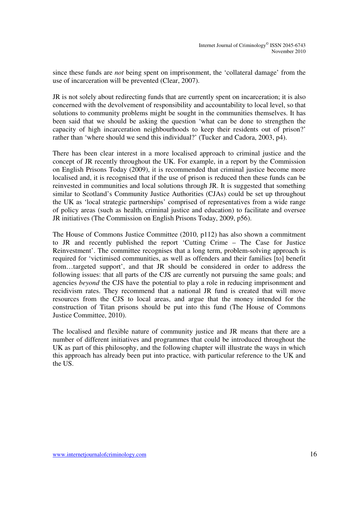since these funds are *not* being spent on imprisonment, the 'collateral damage' from the use of incarceration will be prevented (Clear, 2007).

JR is not solely about redirecting funds that are currently spent on incarceration; it is also concerned with the devolvement of responsibility and accountability to local level, so that solutions to community problems might be sought in the communities themselves. It has been said that we should be asking the question 'what can be done to strengthen the capacity of high incarceration neighbourhoods to keep their residents out of prison?' rather than 'where should we send this individual?' (Tucker and Cadora, 2003, p4).

There has been clear interest in a more localised approach to criminal justice and the concept of JR recently throughout the UK. For example, in a report by the Commission on English Prisons Today (2009), it is recommended that criminal justice become more localised and, it is recognised that if the use of prison is reduced then these funds can be reinvested in communities and local solutions through JR. It is suggested that something similar to Scotland's Community Justice Authorities (CJAs) could be set up throughout the UK as 'local strategic partnerships' comprised of representatives from a wide range of policy areas (such as health, criminal justice and education) to facilitate and oversee JR initiatives (The Commission on English Prisons Today, 2009, p56).

The House of Commons Justice Committee (2010, p112) has also shown a commitment to JR and recently published the report 'Cutting Crime – The Case for Justice Reinvestment'. The committee recognises that a long term, problem-solving approach is required for 'victimised communities, as well as offenders and their families [to] benefit from…targeted support', and that JR should be considered in order to address the following issues: that all parts of the CJS are currently not pursuing the same goals; and agencies *beyond* the CJS have the potential to play a role in reducing imprisonment and recidivism rates. They recommend that a national JR fund is created that will move resources from the CJS to local areas, and argue that the money intended for the construction of Titan prisons should be put into this fund (The House of Commons Justice Committee, 2010).

The localised and flexible nature of community justice and JR means that there are a number of different initiatives and programmes that could be introduced throughout the UK as part of this philosophy, and the following chapter will illustrate the ways in which this approach has already been put into practice, with particular reference to the UK and the US.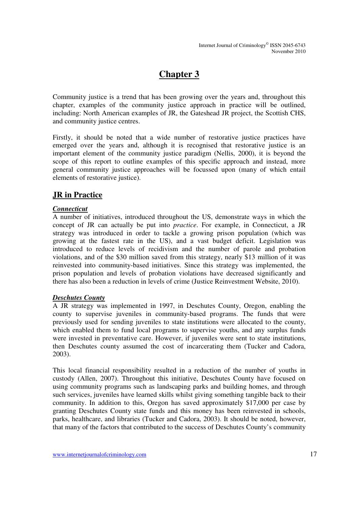## **Chapter 3**

Community justice is a trend that has been growing over the years and, throughout this chapter, examples of the community justice approach in practice will be outlined, including: North American examples of JR, the Gateshead JR project, the Scottish CHS, and community justice centres.

Firstly, it should be noted that a wide number of restorative justice practices have emerged over the years and, although it is recognised that restorative justice is an important element of the community justice paradigm (Nellis, 2000), it is beyond the scope of this report to outline examples of this specific approach and instead, more general community justice approaches will be focussed upon (many of which entail elements of restorative justice).

### **JR in Practice**

#### *Connecticut*

A number of initiatives, introduced throughout the US, demonstrate ways in which the concept of JR can actually be put into *practice*. For example, in Connecticut, a JR strategy was introduced in order to tackle a growing prison population (which was growing at the fastest rate in the US), and a vast budget deficit. Legislation was introduced to reduce levels of recidivism and the number of parole and probation violations, and of the \$30 million saved from this strategy, nearly \$13 million of it was reinvested into community-based initiatives. Since this strategy was implemented, the prison population and levels of probation violations have decreased significantly and there has also been a reduction in levels of crime (Justice Reinvestment Website, 2010).

#### *Deschutes County*

A JR strategy was implemented in 1997, in Deschutes County, Oregon, enabling the county to supervise juveniles in community-based programs. The funds that were previously used for sending juveniles to state institutions were allocated to the county, which enabled them to fund local programs to supervise youths, and any surplus funds were invested in preventative care. However, if juveniles were sent to state institutions, then Deschutes county assumed the cost of incarcerating them (Tucker and Cadora, 2003).

This local financial responsibility resulted in a reduction of the number of youths in custody (Allen, 2007). Throughout this initiative, Deschutes County have focused on using community programs such as landscaping parks and building homes, and through such services, juveniles have learned skills whilst giving something tangible back to their community. In addition to this, Oregon has saved approximately \$17,000 per case by granting Deschutes County state funds and this money has been reinvested in schools, parks, healthcare, and libraries (Tucker and Cadora, 2003). It should be noted, however, that many of the factors that contributed to the success of Deschutes County's community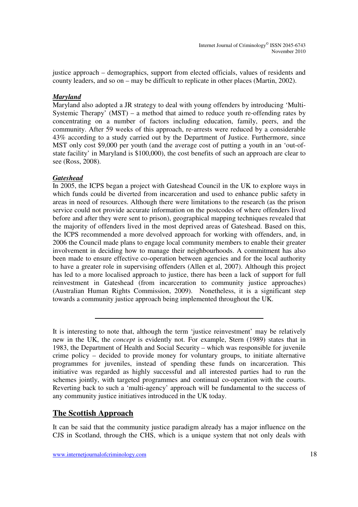justice approach – demographics, support from elected officials, values of residents and county leaders, and so on – may be difficult to replicate in other places (Martin, 2002).

#### *Maryland*

Maryland also adopted a JR strategy to deal with young offenders by introducing 'Multi-Systemic Therapy' (MST) – a method that aimed to reduce youth re-offending rates by concentrating on a number of factors including education, family, peers, and the community. After 59 weeks of this approach, re-arrests were reduced by a considerable 43% according to a study carried out by the Department of Justice. Furthermore, since MST only cost \$9,000 per youth (and the average cost of putting a youth in an 'out-ofstate facility' in Maryland is \$100,000), the cost benefits of such an approach are clear to see (Ross, 2008).

#### *Gateshead*

In 2005, the ICPS began a project with Gateshead Council in the UK to explore ways in which funds could be diverted from incarceration and used to enhance public safety in areas in need of resources. Although there were limitations to the research (as the prison service could not provide accurate information on the postcodes of where offenders lived before and after they were sent to prison), geographical mapping techniques revealed that the majority of offenders lived in the most deprived areas of Gateshead. Based on this, the ICPS recommended a more devolved approach for working with offenders, and, in 2006 the Council made plans to engage local community members to enable their greater involvement in deciding how to manage their neighbourhoods. A commitment has also been made to ensure effective co-operation between agencies and for the local authority to have a greater role in supervising offenders (Allen et al, 2007). Although this project has led to a more localised approach to justice, there has been a lack of support for full reinvestment in Gateshead (from incarceration to community justice approaches) (Australian Human Rights Commission, 2009). Nonetheless, it is a significant step towards a community justice approach being implemented throughout the UK.

### **The Scottish Approach**

It can be said that the community justice paradigm already has a major influence on the CJS in Scotland, through the CHS, which is a unique system that not only deals with

It is interesting to note that, although the term 'justice reinvestment' may be relatively new in the UK, the *concept* is evidently not. For example, Stern (1989) states that in 1983, the Department of Health and Social Security – which was responsible for juvenile crime policy – decided to provide money for voluntary groups, to initiate alternative programmes for juveniles, instead of spending these funds on incarceration. This initiative was regarded as highly successful and all interested parties had to run the schemes jointly, with targeted programmes and continual co-operation with the courts. Reverting back to such a 'multi-agency' approach will be fundamental to the success of any community justice initiatives introduced in the UK today.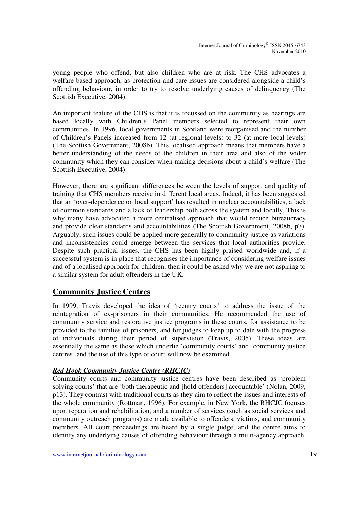young people who offend, but also children who are at risk. The CHS advocates a welfare-based approach, as protection and care issues are considered alongside a child's offending behaviour, in order to try to resolve underlying causes of delinquency (The Scottish Executive, 2004).

An important feature of the CHS is that it is focussed on the community as hearings are based locally with Children's Panel members selected to represent their own communities. In 1996, local governments in Scotland were reorganised and the number of Children's Panels increased from 12 (at regional levels) to 32 (at more local levels) (The Scottish Government, 2008b). This localised approach means that members have a better understanding of the needs of the children in their area and also of the wider community which they can consider when making decisions about a child's welfare (The Scottish Executive, 2004).

However, there are significant differences between the levels of support and quality of training that CHS members receive in different local areas. Indeed, it has been suggested that an 'over-dependence on local support' has resulted in unclear accountabilities, a lack of common standards and a lack of leadership both across the system and locally. This is why many have advocated a more centralised approach that would reduce bureaucracy and provide clear standards and accountabilities (The Scottish Government, 2008b, p7). Arguably, such issues could be applied more generally to community justice as variations and inconsistencies could emerge between the services that local authorities provide. Despite such practical issues, the CHS has been highly praised worldwide and, if a successful system is in place that recognises the importance of considering welfare issues and of a localised approach for children, then it could be asked why we are not aspiring to a similar system for adult offenders in the UK.

### **Community Justice Centres**

In 1999, Travis developed the idea of 'reentry courts' to address the issue of the reintegration of ex-prisoners in their communities. He recommended the use of community service and restorative justice programs in these courts, for assistance to be provided to the families of prisoners, and for judges to keep up to date with the progress of individuals during their period of supervision (Travis, 2005). These ideas are essentially the same as those which underlie 'community courts' and 'community justice centres' and the use of this type of court will now be examined.

#### *Red Hook Community Justice Centre (RHCJC)*

Community courts and community justice centres have been described as 'problem solving courts' that are 'both therapeutic and [hold offenders] accountable' (Nolan, 2009, p13). They contrast with traditional courts as they aim to reflect the issues and interests of the whole community (Rottman, 1996). For example, in New York, the RHCJC focuses upon reparation and rehabilitation, and a number of services (such as social services and community outreach programs) are made available to offenders, victims, and community members. All court proceedings are heard by a single judge, and the centre aims to identify any underlying causes of offending behaviour through a multi-agency approach.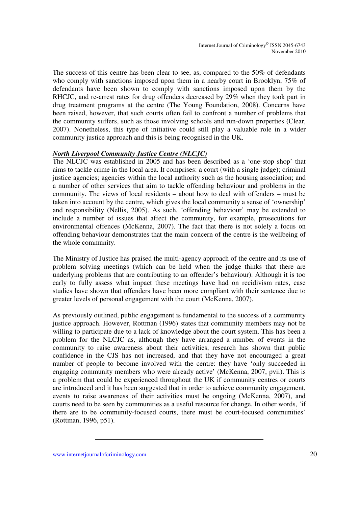The success of this centre has been clear to see, as, compared to the 50% of defendants who comply with sanctions imposed upon them in a nearby court in Brooklyn, 75% of defendants have been shown to comply with sanctions imposed upon them by the RHCJC, and re-arrest rates for drug offenders decreased by 29% when they took part in drug treatment programs at the centre (The Young Foundation, 2008). Concerns have been raised, however, that such courts often fail to confront a number of problems that the community suffers, such as those involving schools and run-down properties (Clear, 2007). Nonetheless, this type of initiative could still play a valuable role in a wider community justice approach and this is being recognised in the UK.

#### *North Liverpool Community Justice Centre (NLCJC)*

The NLCJC was established in 2005 and has been described as a 'one-stop shop' that aims to tackle crime in the local area. It comprises: a court (with a single judge); criminal justice agencies; agencies within the local authority such as the housing association; and a number of other services that aim to tackle offending behaviour and problems in the community. The views of local residents – about how to deal with offenders – must be taken into account by the centre, which gives the local community a sense of 'ownership' and responsibility (Nellis, 2005). As such, 'offending behaviour' may be extended to include a number of issues that affect the community, for example, prosecutions for environmental offences (McKenna, 2007). The fact that there is not solely a focus on offending behaviour demonstrates that the main concern of the centre is the wellbeing of the whole community.

The Ministry of Justice has praised the multi-agency approach of the centre and its use of problem solving meetings (which can be held when the judge thinks that there are underlying problems that are contributing to an offender's behaviour). Although it is too early to fully assess what impact these meetings have had on recidivism rates, case studies have shown that offenders have been more compliant with their sentence due to greater levels of personal engagement with the court (McKenna, 2007).

As previously outlined, public engagement is fundamental to the success of a community justice approach. However, Rottman (1996) states that community members may not be willing to participate due to a lack of knowledge about the court system. This has been a problem for the NLCJC as, although they have arranged a number of events in the community to raise awareness about their activities, research has shown that public confidence in the CJS has not increased, and that they have not encouraged a great number of people to become involved with the centre: they have 'only succeeded in engaging community members who were already active' (McKenna, 2007, pvii). This is a problem that could be experienced throughout the UK if community centres or courts are introduced and it has been suggested that in order to achieve community engagement, events to raise awareness of their activities must be ongoing (McKenna, 2007), and courts need to be seen by communities as a useful resource for change. In other words, 'if there are to be community-focused courts, there must be court-focused communities' (Rottman, 1996, p51).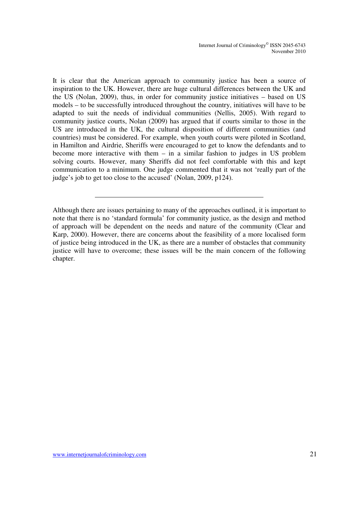Internet Journal of Criminology© ISSN 2045-6743 November 2010

It is clear that the American approach to community justice has been a source of inspiration to the UK. However, there are huge cultural differences between the UK and the US (Nolan, 2009), thus, in order for community justice initiatives – based on US models – to be successfully introduced throughout the country, initiatives will have to be adapted to suit the needs of individual communities (Nellis, 2005). With regard to community justice courts, Nolan (2009) has argued that if courts similar to those in the US are introduced in the UK, the cultural disposition of different communities (and countries) must be considered. For example, when youth courts were piloted in Scotland, in Hamilton and Airdrie, Sheriffs were encouraged to get to know the defendants and to become more interactive with them – in a similar fashion to judges in US problem solving courts. However, many Sheriffs did not feel comfortable with this and kept communication to a minimum. One judge commented that it was not 'really part of the judge's job to get too close to the accused' (Nolan, 2009, p124).

Although there are issues pertaining to many of the approaches outlined, it is important to note that there is no 'standard formula' for community justice, as the design and method of approach will be dependent on the needs and nature of the community (Clear and Karp, 2000). However, there are concerns about the feasibility of a more localised form of justice being introduced in the UK, as there are a number of obstacles that community justice will have to overcome; these issues will be the main concern of the following chapter.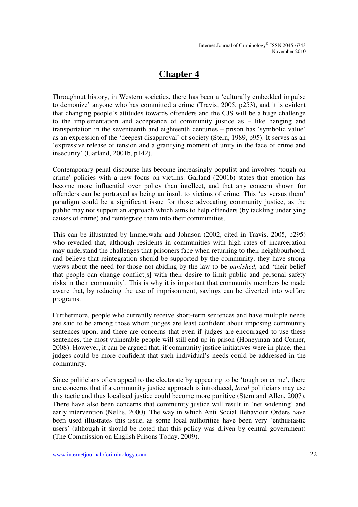## **Chapter 4**

Throughout history, in Western societies, there has been a 'culturally embedded impulse to demonize' anyone who has committed a crime (Travis, 2005, p253), and it is evident that changing people's attitudes towards offenders and the CJS will be a huge challenge to the implementation and acceptance of community justice as – like hanging and transportation in the seventeenth and eighteenth centuries – prison has 'symbolic value' as an expression of the 'deepest disapproval' of society (Stern, 1989, p95). It serves as an 'expressive release of tension and a gratifying moment of unity in the face of crime and insecurity' (Garland, 2001b, p142).

Contemporary penal discourse has become increasingly populist and involves 'tough on crime' policies with a new focus on victims. Garland (2001b) states that emotion has become more influential over policy than intellect, and that any concern shown for offenders can be portrayed as being an insult to victims of crime. This 'us versus them' paradigm could be a significant issue for those advocating community justice, as the public may not support an approach which aims to help offenders (by tackling underlying causes of crime) and reintegrate them into their communities.

This can be illustrated by Immerwahr and Johnson (2002, cited in Travis, 2005, p295) who revealed that, although residents in communities with high rates of incarceration may understand the challenges that prisoners face when returning to their neighbourhood, and believe that reintegration should be supported by the community, they have strong views about the need for those not abiding by the law to be *punished*, and 'their belief that people can change conflict[s] with their desire to limit public and personal safety risks in their community'. This is why it is important that community members be made aware that, by reducing the use of imprisonment, savings can be diverted into welfare programs.

Furthermore, people who currently receive short-term sentences and have multiple needs are said to be among those whom judges are least confident about imposing community sentences upon, and there are concerns that even if judges are encouraged to use these sentences, the most vulnerable people will still end up in prison (Honeyman and Corner, 2008). However, it can be argued that, if community justice initiatives were in place, then judges could be more confident that such individual's needs could be addressed in the community.

Since politicians often appeal to the electorate by appearing to be 'tough on crime', there are concerns that if a community justice approach is introduced, *local* politicians may use this tactic and thus localised justice could become more punitive (Stern and Allen, 2007). There have also been concerns that community justice will result in 'net widening' and early intervention (Nellis, 2000). The way in which Anti Social Behaviour Orders have been used illustrates this issue, as some local authorities have been very 'enthusiastic users' (although it should be noted that this policy was driven by central government) (The Commission on English Prisons Today, 2009).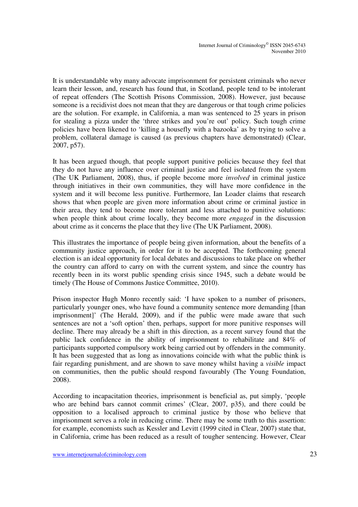It is understandable why many advocate imprisonment for persistent criminals who never learn their lesson, and, research has found that, in Scotland, people tend to be intolerant of repeat offenders (The Scottish Prisons Commission, 2008). However, just because someone is a recidivist does not mean that they are dangerous or that tough crime policies are the solution. For example, in California, a man was sentenced to 25 years in prison for stealing a pizza under the 'three strikes and you're out' policy. Such tough crime policies have been likened to 'killing a housefly with a bazooka' as by trying to solve a problem, collateral damage is caused (as previous chapters have demonstrated) (Clear, 2007, p57).

It has been argued though, that people support punitive policies because they feel that they do not have any influence over criminal justice and feel isolated from the system (The UK Parliament, 2008), thus, if people become more *involved* in criminal justice through initiatives in their own communities, they will have more confidence in the system and it will become less punitive. Furthermore, Ian Loader claims that research shows that when people are given more information about crime or criminal justice in their area, they tend to become more tolerant and less attached to punitive solutions: when people think about crime locally, they become more *engaged* in the discussion about crime as it concerns the place that they live (The UK Parliament, 2008).

This illustrates the importance of people being given information, about the benefits of a community justice approach, in order for it to be accepted. The forthcoming general election is an ideal opportunity for local debates and discussions to take place on whether the country can afford to carry on with the current system, and since the country has recently been in its worst public spending crisis since 1945, such a debate would be timely (The House of Commons Justice Committee, 2010).

Prison inspector Hugh Monro recently said: 'I have spoken to a number of prisoners, particularly younger ones, who have found a community sentence more demanding [than imprisonment]' (The Herald, 2009), and if the public were made aware that such sentences are not a 'soft option' then, perhaps, support for more punitive responses will decline. There may already be a shift in this direction, as a recent survey found that the public lack confidence in the ability of imprisonment to rehabilitate and 84% of participants supported compulsory work being carried out by offenders in the community. It has been suggested that as long as innovations coincide with what the public think is fair regarding punishment, and are shown to save money whilst having a *visible* impact on communities, then the public should respond favourably (The Young Foundation, 2008).

According to incapacitation theories, imprisonment is beneficial as, put simply, 'people who are behind bars cannot commit crimes' (Clear, 2007, p35), and there could be opposition to a localised approach to criminal justice by those who believe that imprisonment serves a role in reducing crime. There may be some truth to this assertion: for example, economists such as Kessler and Levitt (1999 cited in Clear, 2007) state that, in California, crime has been reduced as a result of tougher sentencing. However, Clear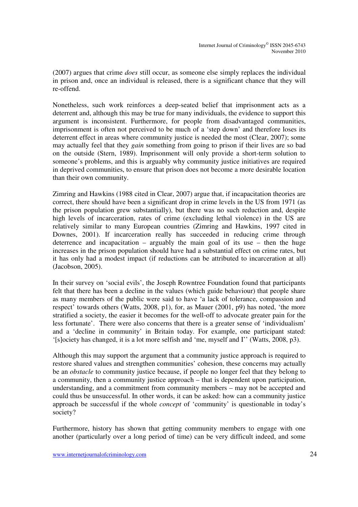(2007) argues that crime *does* still occur, as someone else simply replaces the individual in prison and, once an individual is released, there is a significant chance that they will re-offend.

Nonetheless, such work reinforces a deep-seated belief that imprisonment acts as a deterrent and, although this may be true for many individuals, the evidence to support this argument is inconsistent. Furthermore, for people from disadvantaged communities, imprisonment is often not perceived to be much of a 'step down' and therefore loses its deterrent effect in areas where community justice is needed the most (Clear, 2007); some may actually feel that they *gain* something from going to prison if their lives are so bad on the outside (Stern, 1989). Imprisonment will only provide a short-term solution to someone's problems, and this is arguably why community justice initiatives are required in deprived communities, to ensure that prison does not become a more desirable location than their own community.

Zimring and Hawkins (1988 cited in Clear, 2007) argue that, if incapacitation theories are correct, there should have been a significant drop in crime levels in the US from 1971 (as the prison population grew substantially), but there was no such reduction and, despite high levels of incarceration, rates of crime (excluding lethal violence) in the US are relatively similar to many European countries (Zimring and Hawkins, 1997 cited in Downes, 2001). If incarceration really has succeeded in reducing crime through deterrence and incapacitation – arguably the main goal of its use – then the huge increases in the prison population should have had a substantial effect on crime rates, but it has only had a modest impact (if reductions can be attributed to incarceration at all) (Jacobson, 2005).

In their survey on 'social evils', the Joseph Rowntree Foundation found that participants felt that there has been a decline in the values (which guide behaviour) that people share as many members of the public were said to have 'a lack of tolerance, compassion and respect' towards others (Watts, 2008, p1), for, as Mauer (2001, p9) has noted, 'the more stratified a society, the easier it becomes for the well-off to advocate greater pain for the less fortunate'. There were also concerns that there is a greater sense of 'individualism' and a 'decline in community' in Britain today. For example, one participant stated: '[s]ociety has changed, it is a lot more selfish and 'me, myself and I'' (Watts, 2008, p3).

Although this may support the argument that a community justice approach is required to restore shared values and strengthen communities' cohesion, these concerns may actually be an *obstacle* to community justice because, if people no longer feel that they belong to a community, then a community justice approach – that is dependent upon participation, understanding, and a commitment from community members – may not be accepted and could thus be unsuccessful. In other words, it can be asked: how can a community justice approach be successful if the whole *concept* of 'community' is questionable in today's society?

Furthermore, history has shown that getting community members to engage with one another (particularly over a long period of time) can be very difficult indeed, and some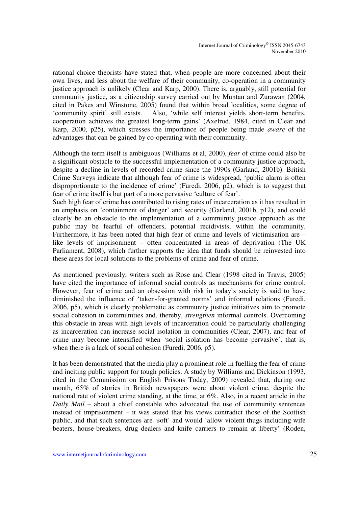rational choice theorists have stated that, when people are more concerned about their own lives, and less about the welfare of their community, co-operation in a community justice approach is unlikely (Clear and Karp, 2000). There is, arguably, still potential for community justice, as a citizenship survey carried out by Muntan and Zurawan (2004, cited in Pakes and Winstone, 2005) found that within broad localities, some degree of 'community spirit' still exists. Also, 'while self interest yields short-term benefits, cooperation achieves the greatest long-term gains' (Axelrod, 1984, cited in Clear and Karp, 2000, p25), which stresses the importance of people being made *aware* of the advantages that can be gained by co-operating with their community.

Although the term itself is ambiguous (Williams et al, 2000), *fear* of crime could also be a significant obstacle to the successful implementation of a community justice approach, despite a decline in levels of recorded crime since the 1990s (Garland, 2001b). British Crime Surveys indicate that although fear of crime is widespread, 'public alarm is often disproportionate to the incidence of crime' (Furedi, 2006, p2), which is to suggest that fear of crime itself is but part of a more pervasive 'culture of fear'.

Such high fear of crime has contributed to rising rates of incarceration as it has resulted in an emphasis on 'containment of danger' and security (Garland, 2001b, p12), and could clearly be an obstacle to the implementation of a community justice approach as the public may be fearful of offenders, potential recidivists, within the community. Furthermore, it has been noted that high fear of crime and levels of victimisation are – like levels of imprisonment – often concentrated in areas of deprivation (The UK Parliament, 2008), which further supports the idea that funds should be reinvested into these areas for local solutions to the problems of crime and fear of crime.

As mentioned previously, writers such as Rose and Clear (1998 cited in Travis, 2005) have cited the importance of informal social controls as mechanisms for crime control. However, fear of crime and an obsession with risk in today's society is said to have diminished the influence of 'taken-for-granted norms' and informal relations (Furedi, 2006, p5), which is clearly problematic as community justice initiatives aim to promote social cohesion in communities and, thereby, *strengthen* informal controls. Overcoming this obstacle in areas with high levels of incarceration could be particularly challenging as incarceration can increase social isolation in communities (Clear, 2007), and fear of crime may become intensified when 'social isolation has become pervasive', that is, when there is a lack of social cohesion (Furedi, 2006, p5).

It has been demonstrated that the media play a prominent role in fuelling the fear of crime and inciting public support for tough policies. A study by Williams and Dickinson (1993, cited in the Commission on English Prisons Today, 2009) revealed that, during one month, 65% of stories in British newspapers were about violent crime, despite the national rate of violent crime standing, at the time, at 6%. Also, in a recent article in the *Daily Mail* – about a chief constable who advocated the use of community sentences instead of imprisonment – it was stated that his views contradict those of the Scottish public, and that such sentences are 'soft' and would 'allow violent thugs including wife beaters, house-breakers, drug dealers and knife carriers to remain at liberty' (Roden,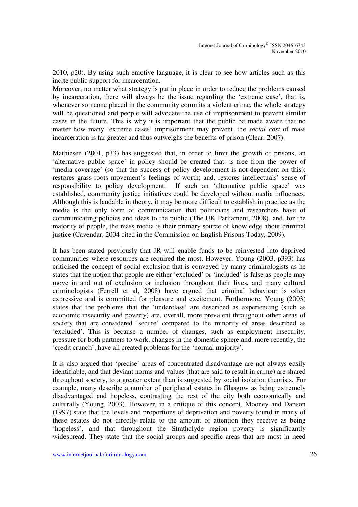2010, p20). By using such emotive language, it is clear to see how articles such as this incite public support for incarceration.

Moreover, no matter what strategy is put in place in order to reduce the problems caused by incarceration, there will always be the issue regarding the 'extreme case', that is, whenever someone placed in the community commits a violent crime, the whole strategy will be questioned and people will advocate the use of imprisonment to prevent similar cases in the future. This is why it is important that the public be made aware that no matter how many 'extreme cases' imprisonment may prevent, the *social cost* of mass incarceration is far greater and thus outweighs the benefits of prison (Clear, 2007).

Mathiesen (2001, p33) has suggested that, in order to limit the growth of prisons, an 'alternative public space' in policy should be created that: is free from the power of 'media coverage' (so that the success of policy development is not dependent on this); restores grass-roots movement's feelings of worth; and, restores intellectuals' sense of responsibility to policy development. If such an 'alternative public space' was established, community justice initiatives could be developed without media influences. Although this is laudable in theory, it may be more difficult to establish in practice as the media is the only form of communication that politicians and researchers have of communicating policies and ideas to the public (The UK Parliament, 2008), and, for the majority of people, the mass media is their primary source of knowledge about criminal justice (Cavendar, 2004 cited in the Commission on English Prisons Today, 2009).

It has been stated previously that JR will enable funds to be reinvested into deprived communities where resources are required the most. However, Young (2003, p393) has criticised the concept of social exclusion that is conveyed by many criminologists as he states that the notion that people are either 'excluded' or 'included' is false as people may move in and out of exclusion or inclusion throughout their lives, and many cultural criminologists (Ferrell et al, 2008) have argued that criminal behaviour is often expressive and is committed for pleasure and excitement. Furthermore, Young (2003) states that the problems that the 'underclass' are described as experiencing (such as economic insecurity and poverty) are, overall, more prevalent throughout other areas of society that are considered 'secure' compared to the minority of areas described as 'excluded'. This is because a number of changes, such as employment insecurity, pressure for both partners to work, changes in the domestic sphere and, more recently, the 'credit crunch', have all created problems for the 'normal majority'.

It is also argued that 'precise' areas of concentrated disadvantage are not always easily identifiable, and that deviant norms and values (that are said to result in crime) are shared throughout society, to a greater extent than is suggested by social isolation theorists. For example, many describe a number of peripheral estates in Glasgow as being extremely disadvantaged and hopeless, contrasting the rest of the city both economically and culturally (Young, 2003). However, in a critique of this concept, Mooney and Danson (1997) state that the levels and proportions of deprivation and poverty found in many of these estates do not directly relate to the amount of attention they receive as being 'hopeless', and that throughout the Strathclyde region poverty is significantly widespread. They state that the social groups and specific areas that are most in need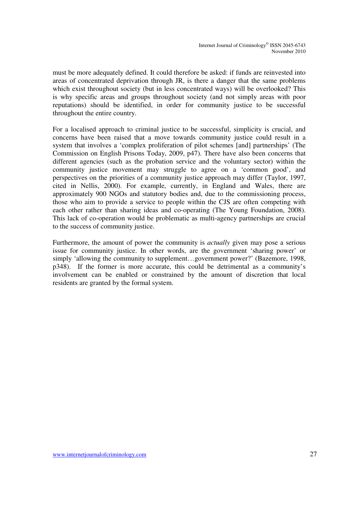must be more adequately defined. It could therefore be asked: if funds are reinvested into areas of concentrated deprivation through JR, is there a danger that the same problems which exist throughout society (but in less concentrated ways) will be overlooked? This is why specific areas and groups throughout society (and not simply areas with poor reputations) should be identified, in order for community justice to be successful throughout the entire country.

For a localised approach to criminal justice to be successful, simplicity is crucial, and concerns have been raised that a move towards community justice could result in a system that involves a 'complex proliferation of pilot schemes [and] partnerships' (The Commission on English Prisons Today, 2009, p47). There have also been concerns that different agencies (such as the probation service and the voluntary sector) within the community justice movement may struggle to agree on a 'common good', and perspectives on the priorities of a community justice approach may differ (Taylor, 1997, cited in Nellis, 2000). For example, currently, in England and Wales, there are approximately 900 NGOs and statutory bodies and, due to the commissioning process, those who aim to provide a service to people within the CJS are often competing with each other rather than sharing ideas and co-operating (The Young Foundation, 2008). This lack of co-operation would be problematic as multi-agency partnerships are crucial to the success of community justice.

Furthermore, the amount of power the community is *actually* given may pose a serious issue for community justice. In other words, are the government 'sharing power' or simply 'allowing the community to supplement…government power?' (Bazemore, 1998, p348). If the former is more accurate, this could be detrimental as a community's involvement can be enabled or constrained by the amount of discretion that local residents are granted by the formal system.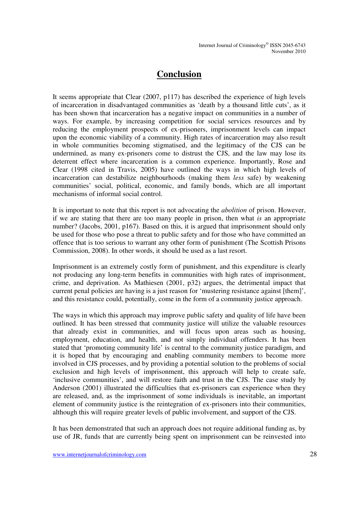### **Conclusion**

It seems appropriate that Clear (2007, p117) has described the experience of high levels of incarceration in disadvantaged communities as 'death by a thousand little cuts', as it has been shown that incarceration has a negative impact on communities in a number of ways. For example, by increasing competition for social services resources and by reducing the employment prospects of ex-prisoners, imprisonment levels can impact upon the economic viability of a community. High rates of incarceration may also result in whole communities becoming stigmatised, and the legitimacy of the CJS can be undermined, as many ex-prisoners come to distrust the CJS, and the law may lose its deterrent effect where incarceration is a common experience. Importantly, Rose and Clear (1998 cited in Travis, 2005) have outlined the ways in which high levels of incarceration can destabilize neighbourhoods (making them *less* safe) by weakening communities' social, political, economic, and family bonds, which are all important mechanisms of informal social control.

It is important to note that this report is not advocating the *abolition* of prison. However, if we are stating that there are too many people in prison, then what *is* an appropriate number? (Jacobs, 2001, p167). Based on this, it is argued that imprisonment should only be used for those who pose a threat to public safety and for those who have committed an offence that is too serious to warrant any other form of punishment (The Scottish Prisons Commission, 2008). In other words, it should be used as a last resort.

Imprisonment is an extremely costly form of punishment, and this expenditure is clearly not producing any long-term benefits in communities with high rates of imprisonment, crime, and deprivation. As Mathiesen (2001, p32) argues, the detrimental impact that current penal policies are having is a just reason for 'mustering resistance against [them]', and this resistance could, potentially, come in the form of a community justice approach.

The ways in which this approach may improve public safety and quality of life have been outlined. It has been stressed that community justice will utilize the valuable resources that already exist in communities, and will focus upon areas such as housing, employment, education, and health, and not simply individual offenders. It has been stated that 'promoting community life' is central to the community justice paradigm, and it is hoped that by encouraging and enabling community members to become more involved in CJS processes, and by providing a potential solution to the problems of social exclusion and high levels of imprisonment, this approach will help to create safe, 'inclusive communities', and will restore faith and trust in the CJS. The case study by Anderson (2001) illustrated the difficulties that ex-prisoners can experience when they are released, and, as the imprisonment of some individuals is inevitable, an important element of community justice is the reintegration of ex-prisoners into their communities, although this will require greater levels of public involvement, and support of the CJS.

It has been demonstrated that such an approach does not require additional funding as, by use of JR, funds that are currently being spent on imprisonment can be reinvested into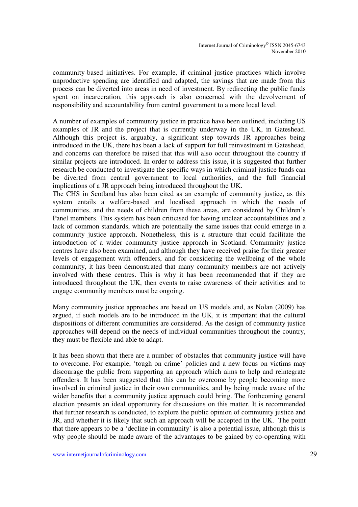community-based initiatives. For example, if criminal justice practices which involve unproductive spending are identified and adapted, the savings that are made from this process can be diverted into areas in need of investment. By redirecting the public funds spent on incarceration, this approach is also concerned with the devolvement of responsibility and accountability from central government to a more local level.

A number of examples of community justice in practice have been outlined, including US examples of JR and the project that is currently underway in the UK, in Gateshead. Although this project is, arguably, a significant step towards JR approaches being introduced in the UK, there has been a lack of support for full reinvestment in Gateshead, and concerns can therefore be raised that this will also occur throughout the country if similar projects are introduced. In order to address this issue, it is suggested that further research be conducted to investigate the specific ways in which criminal justice funds can be diverted from central government to local authorities, and the full financial implications of a JR approach being introduced throughout the UK.

The CHS in Scotland has also been cited as an example of community justice, as this system entails a welfare-based and localised approach in which the needs of communities, and the needs of children from these areas, are considered by Children's Panel members. This system has been criticised for having unclear accountabilities and a lack of common standards, which are potentially the same issues that could emerge in a community justice approach. Nonetheless, this is a structure that could facilitate the introduction of a wider community justice approach in Scotland. Community justice centres have also been examined, and although they have received praise for their greater levels of engagement with offenders, and for considering the wellbeing of the whole community, it has been demonstrated that many community members are not actively involved with these centres. This is why it has been recommended that if they are introduced throughout the UK, then events to raise awareness of their activities and to engage community members must be ongoing.

Many community justice approaches are based on US models and, as Nolan (2009) has argued, if such models are to be introduced in the UK, it is important that the cultural dispositions of different communities are considered. As the design of community justice approaches will depend on the needs of individual communities throughout the country, they must be flexible and able to adapt.

It has been shown that there are a number of obstacles that community justice will have to overcome. For example, 'tough on crime' policies and a new focus on victims may discourage the public from supporting an approach which aims to help and reintegrate offenders. It has been suggested that this can be overcome by people becoming more involved in criminal justice in their own communities, and by being made aware of the wider benefits that a community justice approach could bring. The forthcoming general election presents an ideal opportunity for discussions on this matter. It is recommended that further research is conducted, to explore the public opinion of community justice and JR, and whether it is likely that such an approach will be accepted in the UK. The point that there appears to be a 'decline in community' is also a potential issue, although this is why people should be made aware of the advantages to be gained by co-operating with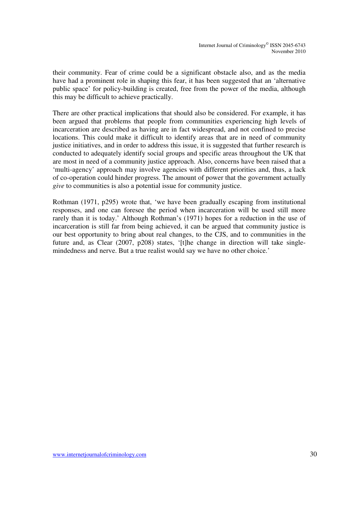their community. Fear of crime could be a significant obstacle also, and as the media have had a prominent role in shaping this fear, it has been suggested that an 'alternative public space' for policy-building is created, free from the power of the media, although this may be difficult to achieve practically.

There are other practical implications that should also be considered. For example, it has been argued that problems that people from communities experiencing high levels of incarceration are described as having are in fact widespread, and not confined to precise locations. This could make it difficult to identify areas that are in need of community justice initiatives, and in order to address this issue, it is suggested that further research is conducted to adequately identify social groups and specific areas throughout the UK that are most in need of a community justice approach. Also, concerns have been raised that a 'multi-agency' approach may involve agencies with different priorities and, thus, a lack of co-operation could hinder progress. The amount of power that the government actually *give* to communities is also a potential issue for community justice.

Rothman (1971, p295) wrote that, 'we have been gradually escaping from institutional responses, and one can foresee the period when incarceration will be used still more rarely than it is today.' Although Rothman's (1971) hopes for a reduction in the use of incarceration is still far from being achieved, it can be argued that community justice is our best opportunity to bring about real changes, to the CJS, and to communities in the future and, as Clear (2007, p208) states, '[t]he change in direction will take singlemindedness and nerve. But a true realist would say we have no other choice.'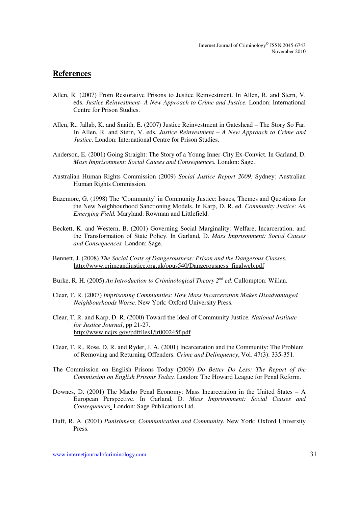#### **References**

- Allen, R. (2007) From Restorative Prisons to Justice Reinvestment. In Allen, R. and Stern, V. eds. *Justice Reinvestment- A New Approach to Crime and Justice.* London: International Centre for Prison Studies.
- Allen, R., Jallab, K. and Snaith, E. (2007) Justice Reinvestment in Gateshead The Story So Far. In Allen, R. and Stern, V. eds. *Justice Reinvestment – A New Approach to Crime and Justice*. London: International Centre for Prison Studies.
- Anderson, E. (2001) Going Straight: The Story of a Young Inner-City Ex-Convict. In Garland, D. *Mass Imprisonment: Social Causes and Consequences.* London: Sage.
- Australian Human Rights Commission (2009) *Social Justice Report 2009.* Sydney: Australian Human Rights Commission.
- Bazemore, G. (1998) The 'Community' in Community Justice: Issues, Themes and Questions for the New Neighbourhood Sanctioning Models. In Karp, D. R. ed. *Community Justice: An Emerging Field.* Maryland: Rowman and Littlefield.
- Beckett, K. and Western, B. (2001) Governing Social Marginality: Welfare, Incarceration, and the Transformation of State Policy. In Garland, D. *Mass Imprisonment: Social Causes and Consequences.* London: Sage.
- Bennett, J. (2008) *The Social Costs of Dangerousness: Prison and the Dangerous Classes.*  http://www.crimeandjustice.org.uk/opus540/Dangerousness\_finalweb.pdf
- Burke, R. H. (2005) *An Introduction to Criminological Theory 2nd ed.* Cullompton: Willan.
- Clear, T. R. (2007) *Imprisoning Communities: How Mass Incarceration Makes Disadvantaged Neighbourhoods Worse.* New York: Oxford University Press.
- Clear, T. R. and Karp, D. R. (2000) Toward the Ideal of Community Justice*. National Institute for Justice Journal*, pp 21-27. http://www.ncjrs.gov/pdffiles1/jr000245f.pdf
- Clear, T. R., Rose, D. R. and Ryder, J. A. (2001) Incarceration and the Community: The Problem of Removing and Returning Offenders. *Crime and Delinquency*, Vol. 47(3): 335-351.
- The Commission on English Prisons Today (2009) *Do Better Do Less: The Report of the Commission on English Prisons Today.* London: The Howard League for Penal Reform.
- Downes, D. (2001) The Macho Penal Economy: Mass Incarceration in the United States A European Perspective. In Garland, D. *Mass Imprisonment: Social Causes and Consequences*. London: Sage Publications Ltd.
- Duff, R. A. (2001) *Punishment, Communication and Community*. New York: Oxford University Press.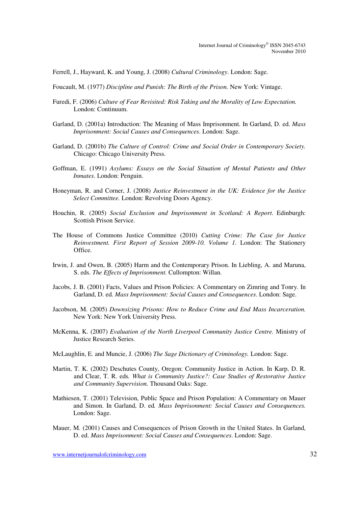Ferrell, J., Hayward, K. and Young, J. (2008) *Cultural Criminology*. London: Sage.

Foucault, M. (1977) *Discipline and Punish: The Birth of the Prison.* New York: Vintage.

- Furedi, F. (2006) *Culture of Fear Revisited: Risk Taking and the Morality of Low Expectation.* London: Continuum.
- Garland, D. (2001a) Introduction: The Meaning of Mass Imprisonment. In Garland, D. ed. *Mass Imprisonment: Social Causes and Consequences*. London: Sage.
- Garland, D. (2001b) *The Culture of Control: Crime and Social Order in Contemporary Society.*  Chicago: Chicago University Press.
- Goffman, E. (1991) *Asylums: Essays on the Social Situation of Mental Patients and Other Inmates*. London: Penguin.
- Honeyman, R. and Corner, J. (2008) *Justice Reinvestment in the UK: Evidence for the Justice Select Committee.* London: Revolving Doors Agency.
- Houchin, R. (2005) *Social Exclusion and Imprisonment in Scotland: A Report*. Edinburgh: Scottish Prison Service.
- The House of Commons Justice Committee (2010) *Cutting Crime: The Case for Justice Reinvestment. First Report of Session 2009-10. Volume 1.* London: The Stationery Office.
- Irwin, J. and Owen, B. (2005) Harm and the Contemporary Prison. In Liebling, A. and Maruna, S. eds. *The Effects of Imprisonment.* Cullompton: Willan.
- Jacobs, J. B. (2001) Facts, Values and Prison Policies: A Commentary on Zimring and Tonry. In Garland, D. ed. *Mass Imprisonment: Social Causes and Consequences*. London: Sage.
- Jacobson, M. (2005) *Downsizing Prisons: How to Reduce Crime and End Mass Incarceration.* New York: New York University Press.
- McKenna, K. (2007) *Evaluation of the North Liverpool Community Justice Centre.* Ministry of Justice Research Series.
- McLaughlin, E. and Muncie, J. (2006) *The Sage Dictionary of Criminology.* London: Sage.
- Martin, T. K. (2002) Deschutes County, Oregon: Community Justice in Action. In Karp, D. R. and Clear, T. R. eds*. What is Community Justice?: Case Studies of Restorative Justice and Community Supervision.* Thousand Oaks: Sage.
- Mathiesen, T. (2001) Television, Public Space and Prison Population: A Commentary on Mauer and Simon. In Garland, D. ed*. Mass Imprisonment: Social Causes and Consequences.* London: Sage.
- Mauer, M. (2001) Causes and Consequences of Prison Growth in the United States. In Garland, D. ed. *Mass Imprisonment: Social Causes and Consequences*. London: Sage.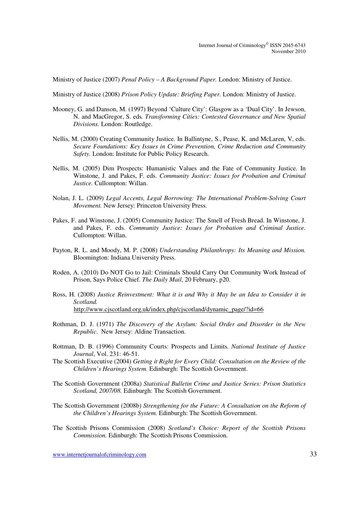Ministry of Justice (2007) *Penal Policy – A Background Paper.* London: Ministry of Justice.

Ministry of Justice (2008) *Prison Policy Update: Briefing Paper.* London: Ministry of Justice.

- Mooney, G. and Danson, M. (1997) Beyond 'Culture City': Glasgow as a 'Dual City'. In Jewson, N. and MacGregor, S. eds*. Transforming Cities: Contested Governance and New Spatial Divisions.* London: Routledge.
- Nellis, M. (2000) Creating Community Justice. In Ballintyne, S., Pease, K. and McLaren, V, eds. *Secure Foundations: Key Issues in Crime Prevention, Crime Reduction and Community Safety.* London: Institute for Public Policy Research.
- Nellis, M. (2005) Dim Prospects: Humanistic Values and the Fate of Community Justice. In Winstone, J. and Pakes, F. eds. *Community Justice: Issues for Probation and Criminal Justice.* Cullompton: Willan.
- Nolan, J. L. (2009) *Legal Accents, Legal Borrowing: The International Problem-Solving Court Movement.* New Jersey: Princeton University Press.
- Pakes, F. and Winstone, J. (2005) Community Justice: The Smell of Fresh Bread. In Winstone, J. and Pakes, F. eds. *Community Justice: Issues for Probation and Criminal Justice.*  Cullompton: Willan.
- Payton, R. L. and Moody, M. P. (2008) *Understanding Philanthropy: Its Meaning and Mission.*  Bloomington: Indiana University Press.
- Roden, A. (2010) Do NOT Go to Jail: Criminals Should Carry Out Community Work Instead of Prison, Says Police Chief. *The Daily Mail*, 20 February, p20.
- Ross, H. (2008) *Justice Reinvestment: What it is and Why it May be an Idea to Consider it in Scotland.*  http://www.cjscotland.org.uk/index.php/cjscotland/dynamic\_page/?id=66
- Rothman, D. J. (1971) *The Discovery of the Asylum: Social Order and Disorder in the New Republic*. New Jersey: Aldine Transaction.
- Rottman, D. B. (1996) Community Courts: Prospects and Limits*. National Institute of Justice Journal*, Vol. 231: 46-51.
- The Scottish Executive (2004) *Getting it Right for Every Child: Consultation on the Review of the Children's Hearings System.* Edinburgh: The Scottish Government.
- The Scottish Government (2008a) *Statistical Bulletin Crime and Justice Series: Prison Statistics Scotland, 2007/08.* Edinburgh: The Scottish Government.
- The Scottish Government (2008b) *Strengthening for the Future: A Consultation on the Reform of the Children's Hearings System.* Edinburgh: The Scottish Government.
- The Scottish Prisons Commission (2008) *Scotland's Choice: Report of the Scottish Prisons Commission.* Edinburgh: The Scottish Prisons Commission.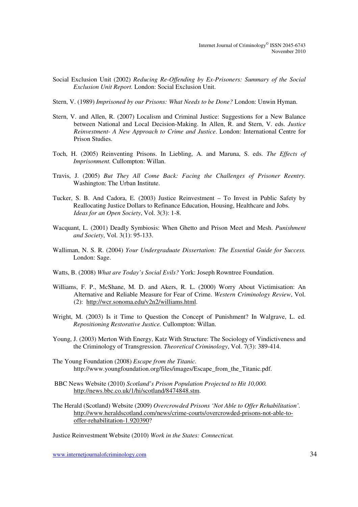- Social Exclusion Unit (2002) *Reducing Re-Offending by Ex-Prisoners: Summary of the Social Exclusion Unit Report.* London: Social Exclusion Unit.
- Stern, V. (1989) *Imprisoned by our Prisons: What Needs to be Done?* London: Unwin Hyman.
- Stern, V. and Allen, R. (2007) Localism and Criminal Justice: Suggestions for a New Balance between National and Local Decision-Making. In Allen, R. and Stern, V. eds. *Justice Reinvestment- A New Approach to Crime and Justice*. London: International Centre for Prison Studies.
- Toch, H. (2005) Reinventing Prisons. In Liebling, A. and Maruna, S. eds. *The Effects of Imprisonment.* Cullompton: Willan.
- Travis, J. (2005) *But They All Come Back: Facing the Challenges of Prisoner Reentry.*  Washington: The Urban Institute.
- Tucker, S. B. And Cadora, E. (2003) Justice Reinvestment To Invest in Public Safety by Reallocating Justice Dollars to Refinance Education, Housing, Healthcare and Jobs. *Ideas for an Open Society*, Vol. 3(3): 1-8.
- Wacquant, L. (2001) Deadly Symbiosis: When Ghetto and Prison Meet and Mesh. *Punishment and Society*, Vol. 3(1): 95-133.
- Walliman, N. S. R. (2004) *Your Undergraduate Dissertation: The Essential Guide for Success.*  London: Sage.
- Watts, B. (2008) *What are Today's Social Evils?* York: Joseph Rowntree Foundation.
- Williams, F. P., McShane, M. D. and Akers, R. L. (2000) Worry About Victimisation: An Alternative and Reliable Measure for Fear of Crime. *Western Criminology Review*, Vol. (2): http://wcr.sonoma.edu/v2n2/williams.html.
- Wright, M. (2003) Is it Time to Question the Concept of Punishment? In Walgrave, L. ed. *Repositioning Restorative Justice.* Cullompton: Willan.
- Young, J. (2003) Merton With Energy, Katz With Structure: The Sociology of Vindictiveness and the Criminology of Transgression. *Theoretical Criminology*, Vol. 7(3): 389-414.
- The Young Foundation (2008) *Escape from the Titanic.*  http://www.youngfoundation.org/files/images/Escape\_from\_the\_Titanic.pdf.
- BBC News Website (2010) *Scotland's Prison Population Projected to Hit 10,000.* http://news.bbc.co.uk/1/hi/scotland/8474848.stm.
- The Herald (Scotland) Website (2009) *Overcrowded Prisons 'Not Able to Offer Rehabilitation'.*  http://www.heraldscotland.com/news/crime-courts/overcrowded-prisons-not-able-tooffer-rehabilitation-1.920390?

Justice Reinvestment Website (2010) *Work in the States: Connecticut.* 

www.internetjournalofcriminology.com 34